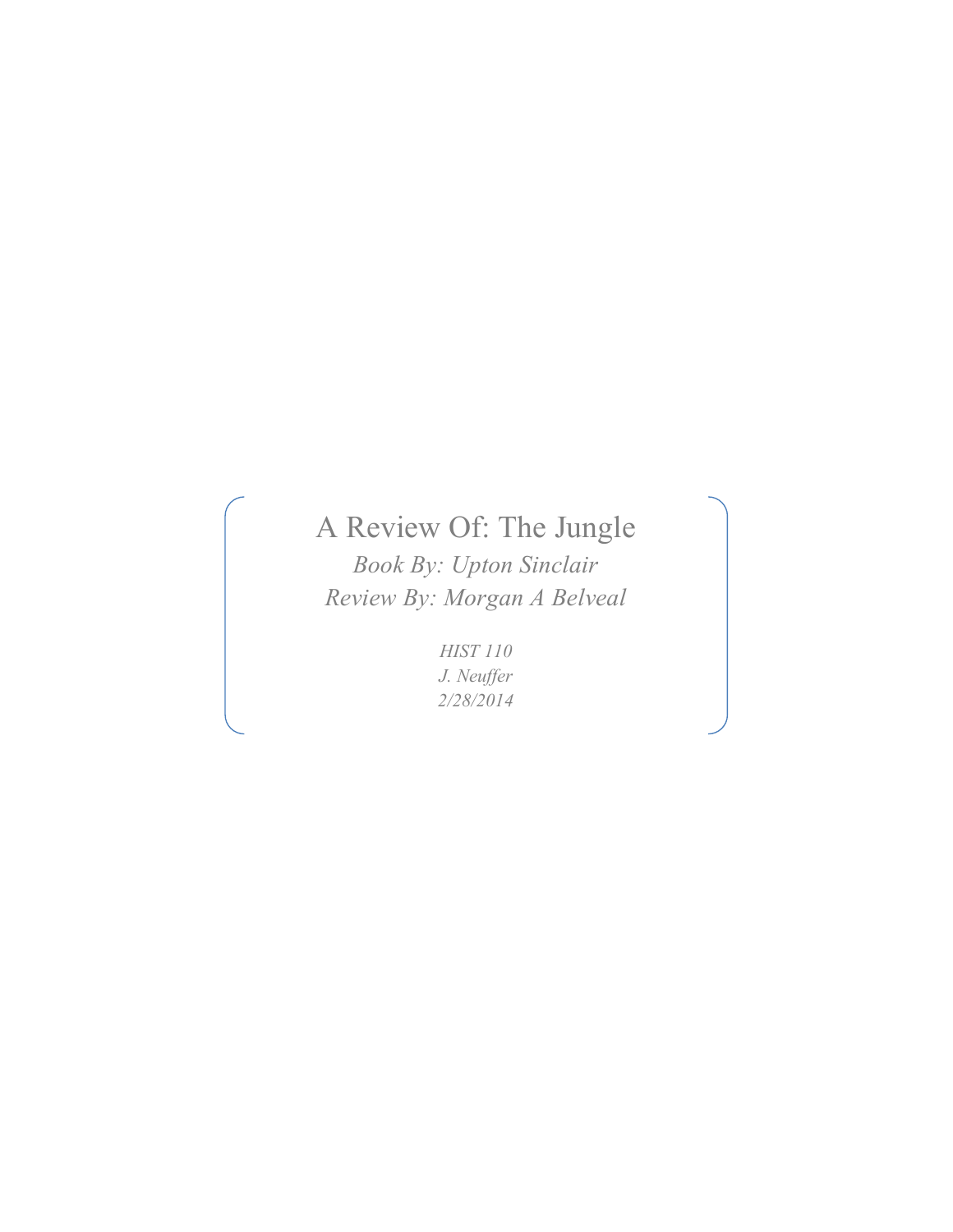## A Review Of: The Jungle

*Book By: Upton Sinclair Review By: Morgan A Belveal*

> *HIST 110 J. Neuffer 2/28/2014*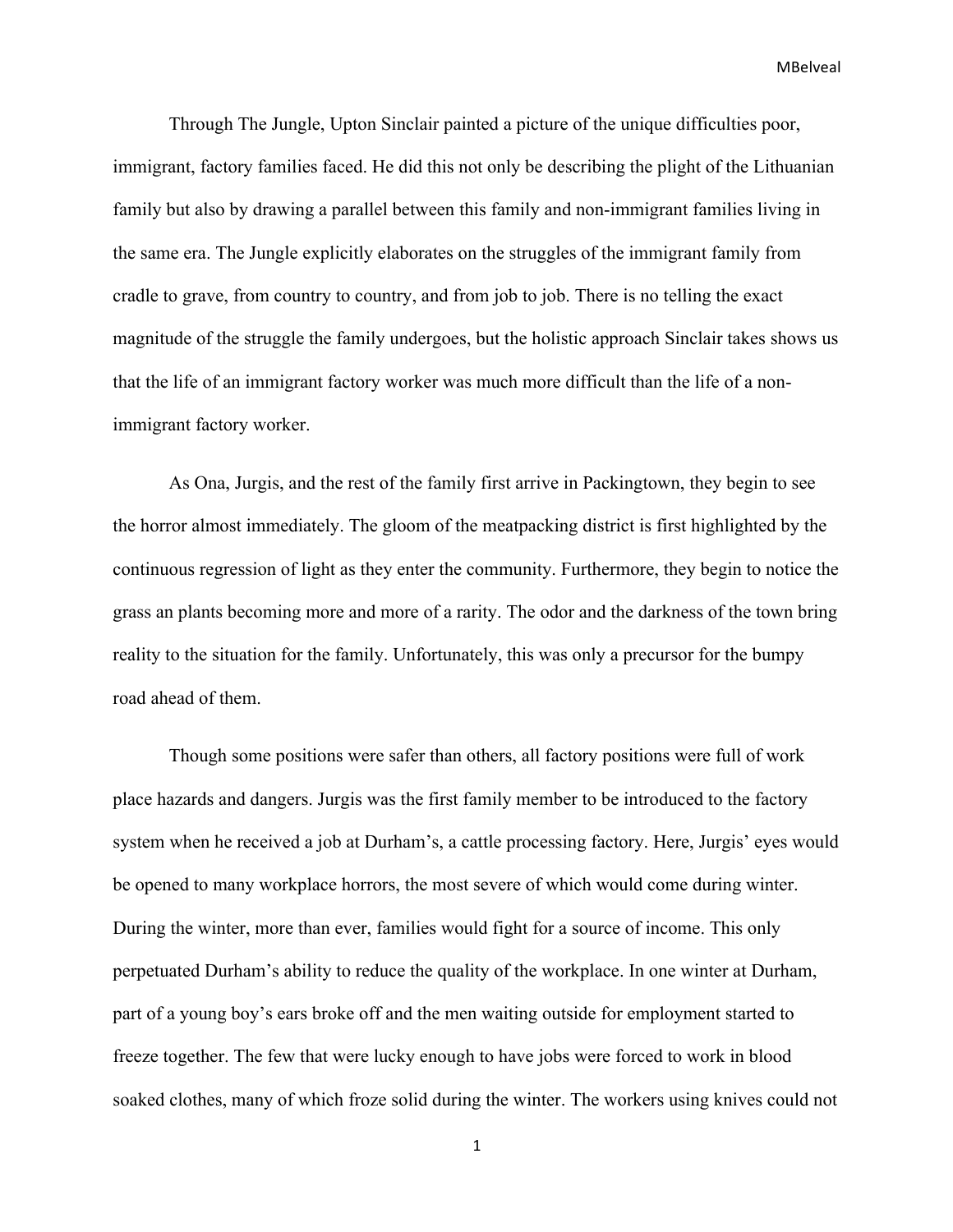Through The Jungle, Upton Sinclair painted a picture of the unique difficulties poor, immigrant, factory families faced. He did this not only be describing the plight of the Lithuanian family but also by drawing a parallel between this family and non-immigrant families living in the same era. The Jungle explicitly elaborates on the struggles of the immigrant family from cradle to grave, from country to country, and from job to job. There is no telling the exact magnitude of the struggle the family undergoes, but the holistic approach Sinclair takes shows us that the life of an immigrant factory worker was much more difficult than the life of a nonimmigrant factory worker.

As Ona, Jurgis, and the rest of the family first arrive in Packingtown, they begin to see the horror almost immediately. The gloom of the meatpacking district is first highlighted by the continuous regression of light as they enter the community. Furthermore, they begin to notice the grass an plants becoming more and more of a rarity. The odor and the darkness of the town bring reality to the situation for the family. Unfortunately, this was only a precursor for the bumpy road ahead of them.

Though some positions were safer than others, all factory positions were full of work place hazards and dangers. Jurgis was the first family member to be introduced to the factory system when he received a job at Durham's, a cattle processing factory. Here, Jurgis' eyes would be opened to many workplace horrors, the most severe of which would come during winter. During the winter, more than ever, families would fight for a source of income. This only perpetuated Durham's ability to reduce the quality of the workplace. In one winter at Durham, part of a young boy's ears broke off and the men waiting outside for employment started to freeze together. The few that were lucky enough to have jobs were forced to work in blood soaked clothes, many of which froze solid during the winter. The workers using knives could not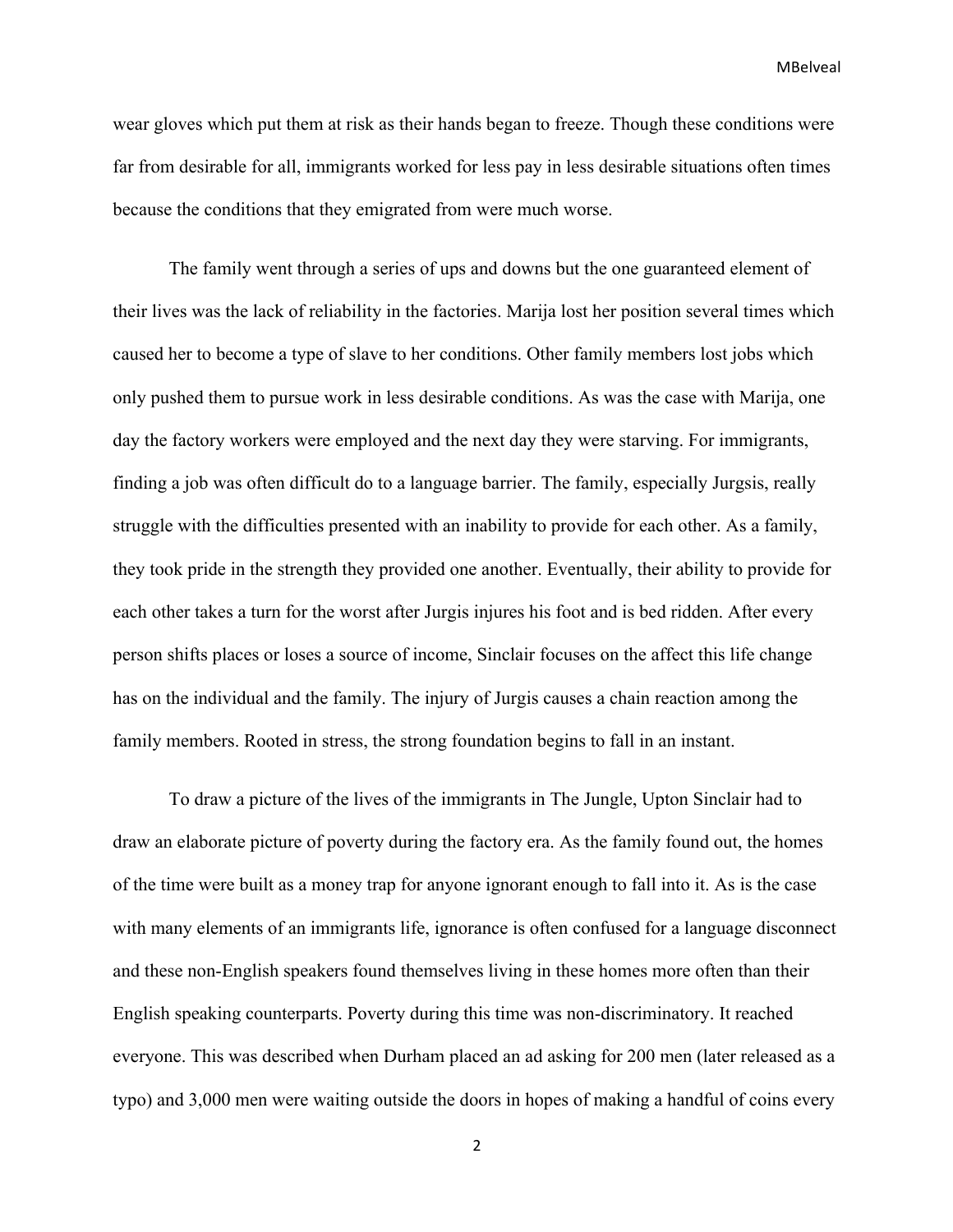wear gloves which put them at risk as their hands began to freeze. Though these conditions were far from desirable for all, immigrants worked for less pay in less desirable situations often times because the conditions that they emigrated from were much worse.

The family went through a series of ups and downs but the one guaranteed element of their lives was the lack of reliability in the factories. Marija lost her position several times which caused her to become a type of slave to her conditions. Other family members lost jobs which only pushed them to pursue work in less desirable conditions. As was the case with Marija, one day the factory workers were employed and the next day they were starving. For immigrants, finding a job was often difficult do to a language barrier. The family, especially Jurgsis, really struggle with the difficulties presented with an inability to provide for each other. As a family, they took pride in the strength they provided one another. Eventually, their ability to provide for each other takes a turn for the worst after Jurgis injures his foot and is bed ridden. After every person shifts places or loses a source of income, Sinclair focuses on the affect this life change has on the individual and the family. The injury of Jurgis causes a chain reaction among the family members. Rooted in stress, the strong foundation begins to fall in an instant.

To draw a picture of the lives of the immigrants in The Jungle, Upton Sinclair had to draw an elaborate picture of poverty during the factory era. As the family found out, the homes of the time were built as a money trap for anyone ignorant enough to fall into it. As is the case with many elements of an immigrants life, ignorance is often confused for a language disconnect and these non-English speakers found themselves living in these homes more often than their English speaking counterparts. Poverty during this time was non-discriminatory. It reached everyone. This was described when Durham placed an ad asking for 200 men (later released as a typo) and 3,000 men were waiting outside the doors in hopes of making a handful of coins every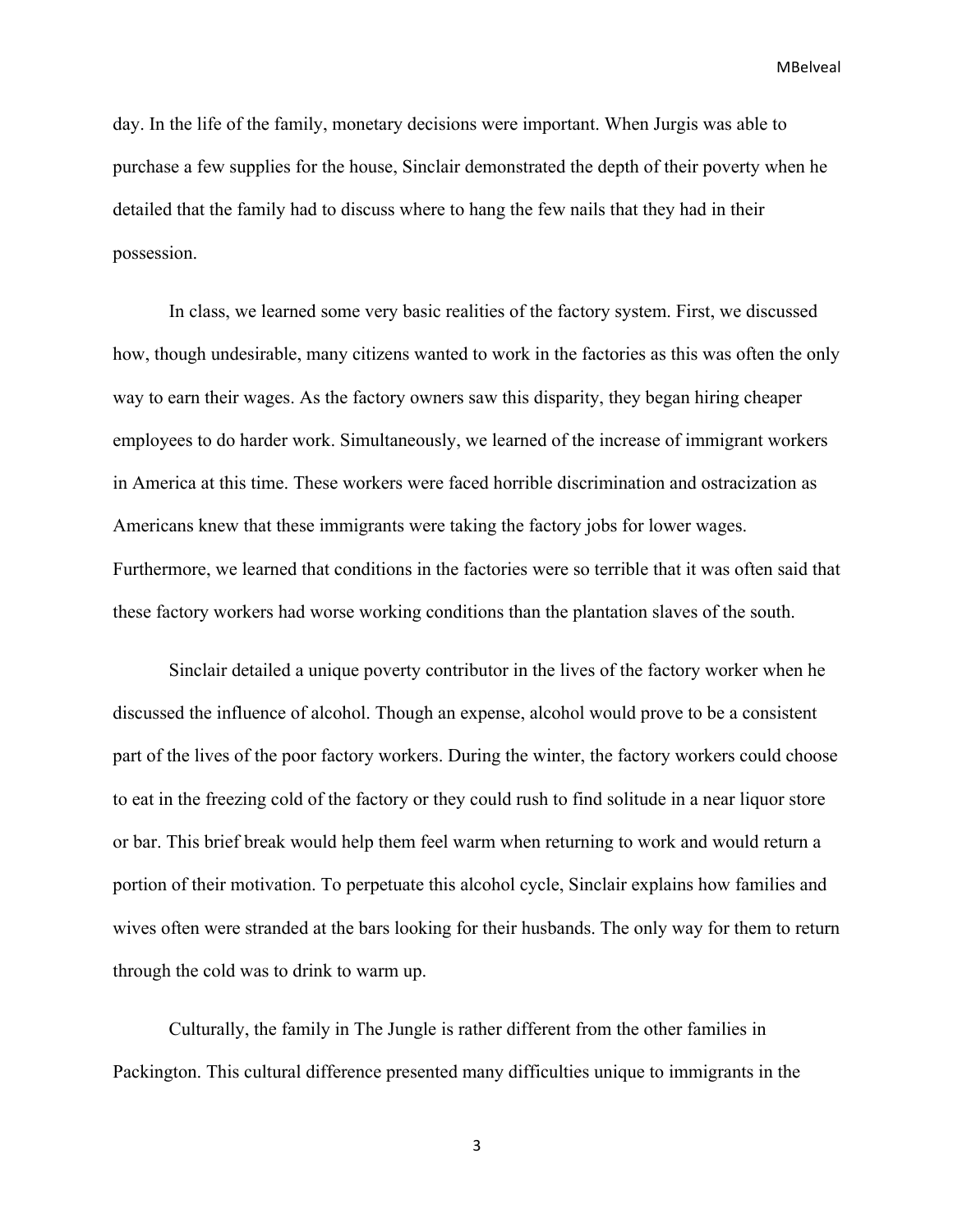day. In the life of the family, monetary decisions were important. When Jurgis was able to purchase a few supplies for the house, Sinclair demonstrated the depth of their poverty when he detailed that the family had to discuss where to hang the few nails that they had in their possession.

In class, we learned some very basic realities of the factory system. First, we discussed how, though undesirable, many citizens wanted to work in the factories as this was often the only way to earn their wages. As the factory owners saw this disparity, they began hiring cheaper employees to do harder work. Simultaneously, we learned of the increase of immigrant workers in America at this time. These workers were faced horrible discrimination and ostracization as Americans knew that these immigrants were taking the factory jobs for lower wages. Furthermore, we learned that conditions in the factories were so terrible that it was often said that these factory workers had worse working conditions than the plantation slaves of the south.

Sinclair detailed a unique poverty contributor in the lives of the factory worker when he discussed the influence of alcohol. Though an expense, alcohol would prove to be a consistent part of the lives of the poor factory workers. During the winter, the factory workers could choose to eat in the freezing cold of the factory or they could rush to find solitude in a near liquor store or bar. This brief break would help them feel warm when returning to work and would return a portion of their motivation. To perpetuate this alcohol cycle, Sinclair explains how families and wives often were stranded at the bars looking for their husbands. The only way for them to return through the cold was to drink to warm up.

Culturally, the family in The Jungle is rather different from the other families in Packington. This cultural difference presented many difficulties unique to immigrants in the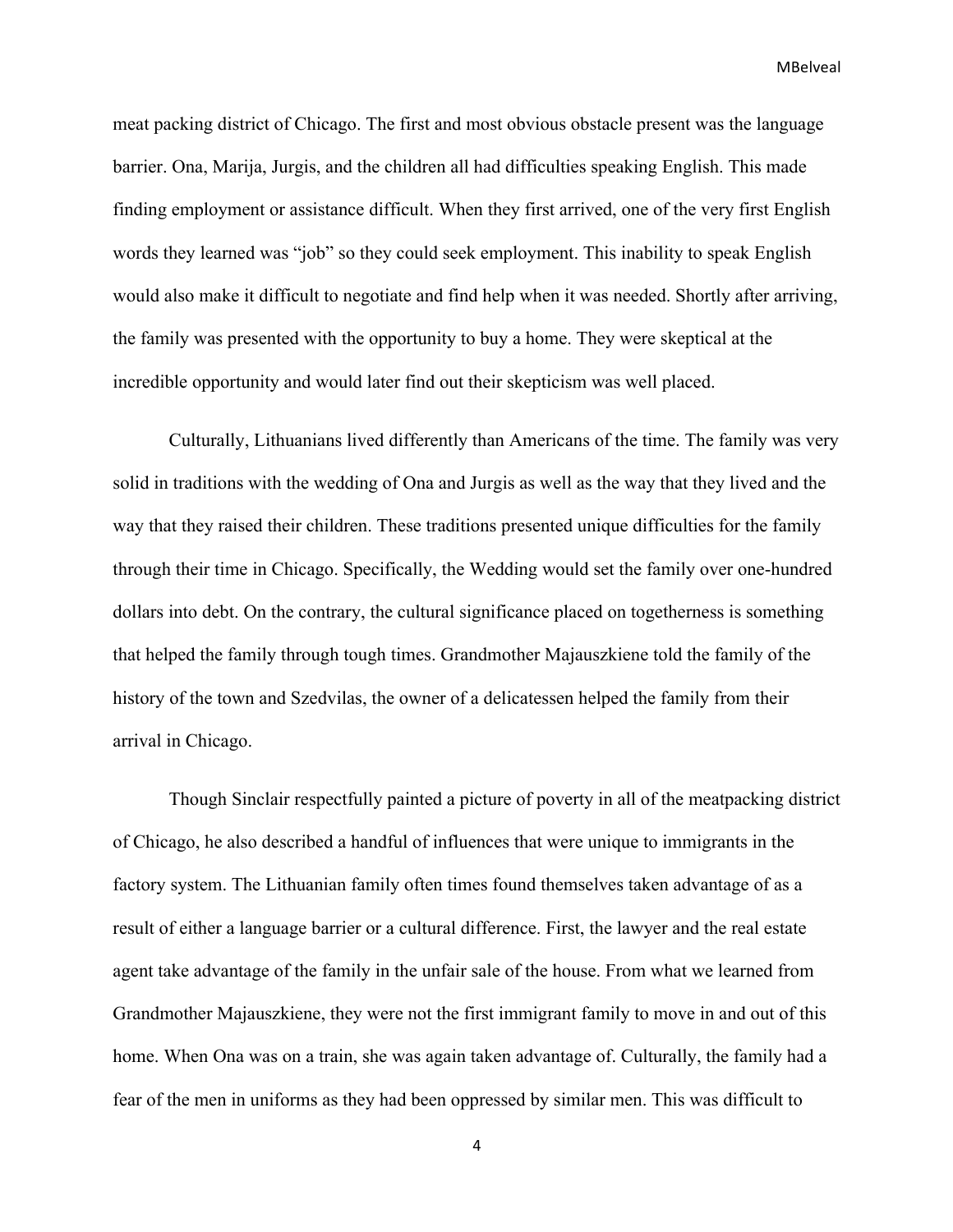meat packing district of Chicago. The first and most obvious obstacle present was the language barrier. Ona, Marija, Jurgis, and the children all had difficulties speaking English. This made finding employment or assistance difficult. When they first arrived, one of the very first English words they learned was "job" so they could seek employment. This inability to speak English would also make it difficult to negotiate and find help when it was needed. Shortly after arriving, the family was presented with the opportunity to buy a home. They were skeptical at the incredible opportunity and would later find out their skepticism was well placed.

Culturally, Lithuanians lived differently than Americans of the time. The family was very solid in traditions with the wedding of Ona and Jurgis as well as the way that they lived and the way that they raised their children. These traditions presented unique difficulties for the family through their time in Chicago. Specifically, the Wedding would set the family over one-hundred dollars into debt. On the contrary, the cultural significance placed on togetherness is something that helped the family through tough times. Grandmother Majauszkiene told the family of the history of the town and Szedvilas, the owner of a delicatessen helped the family from their arrival in Chicago.

Though Sinclair respectfully painted a picture of poverty in all of the meatpacking district of Chicago, he also described a handful of influences that were unique to immigrants in the factory system. The Lithuanian family often times found themselves taken advantage of as a result of either a language barrier or a cultural difference. First, the lawyer and the real estate agent take advantage of the family in the unfair sale of the house. From what we learned from Grandmother Majauszkiene, they were not the first immigrant family to move in and out of this home. When Ona was on a train, she was again taken advantage of. Culturally, the family had a fear of the men in uniforms as they had been oppressed by similar men. This was difficult to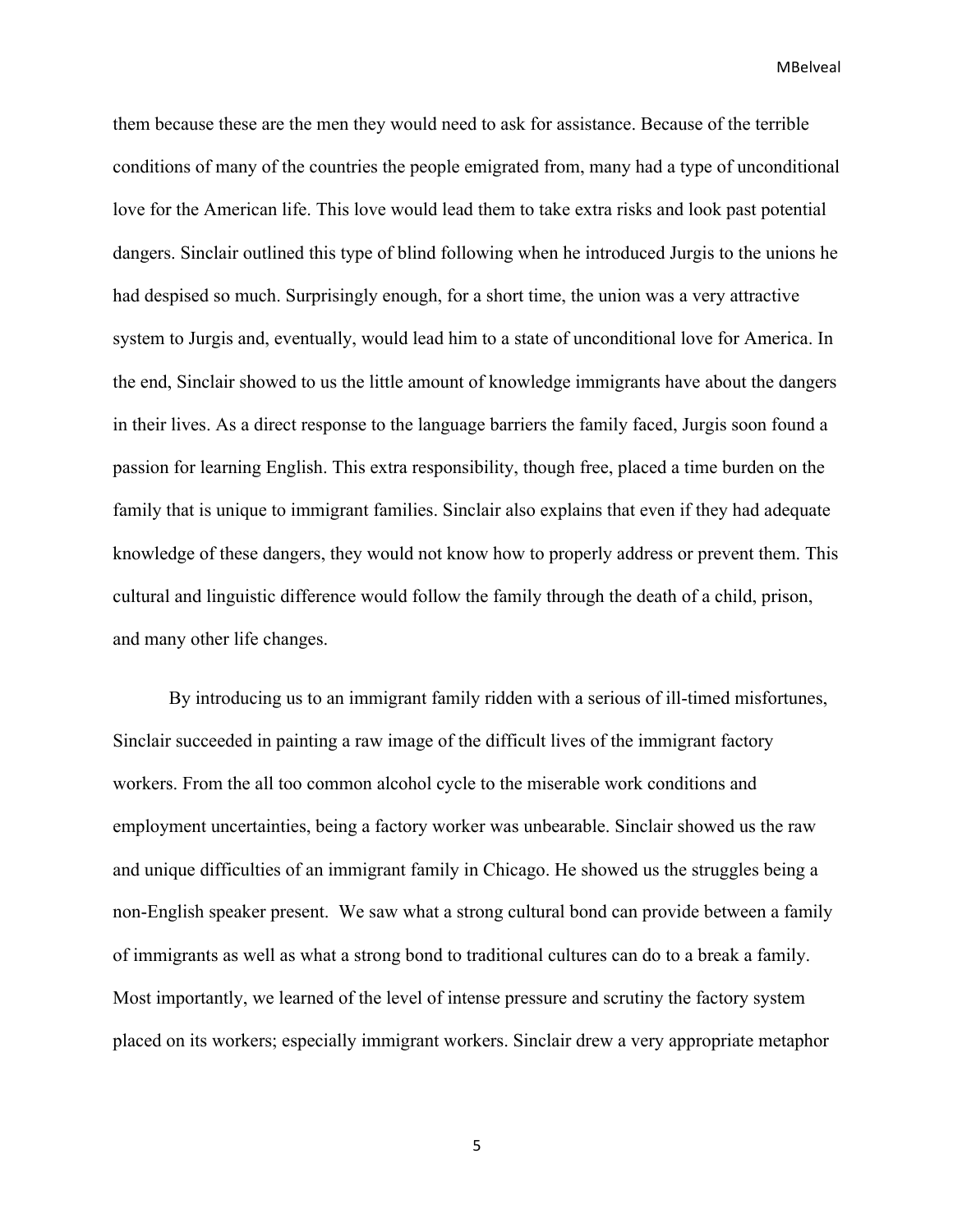them because these are the men they would need to ask for assistance. Because of the terrible conditions of many of the countries the people emigrated from, many had a type of unconditional love for the American life. This love would lead them to take extra risks and look past potential dangers. Sinclair outlined this type of blind following when he introduced Jurgis to the unions he had despised so much. Surprisingly enough, for a short time, the union was a very attractive system to Jurgis and, eventually, would lead him to a state of unconditional love for America. In the end, Sinclair showed to us the little amount of knowledge immigrants have about the dangers in their lives. As a direct response to the language barriers the family faced, Jurgis soon found a passion for learning English. This extra responsibility, though free, placed a time burden on the family that is unique to immigrant families. Sinclair also explains that even if they had adequate knowledge of these dangers, they would not know how to properly address or prevent them. This cultural and linguistic difference would follow the family through the death of a child, prison, and many other life changes.

By introducing us to an immigrant family ridden with a serious of ill-timed misfortunes, Sinclair succeeded in painting a raw image of the difficult lives of the immigrant factory workers. From the all too common alcohol cycle to the miserable work conditions and employment uncertainties, being a factory worker was unbearable. Sinclair showed us the raw and unique difficulties of an immigrant family in Chicago. He showed us the struggles being a non-English speaker present. We saw what a strong cultural bond can provide between a family of immigrants as well as what a strong bond to traditional cultures can do to a break a family. Most importantly, we learned of the level of intense pressure and scrutiny the factory system placed on its workers; especially immigrant workers. Sinclair drew a very appropriate metaphor